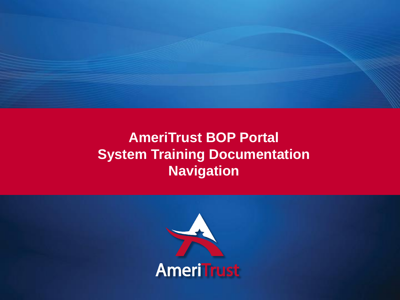

# **AmeriTrust BOP Portal System Training Documentation Navigation**

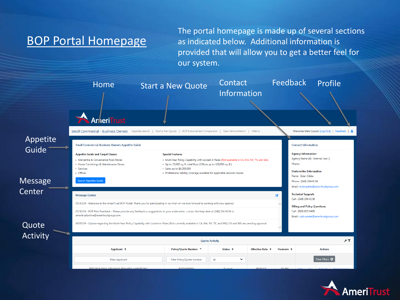## BOP Portal Homepage

The portal homepage is made up of several sections as indicated below. Additional information is provided that will allow you to get a better feel for our system.



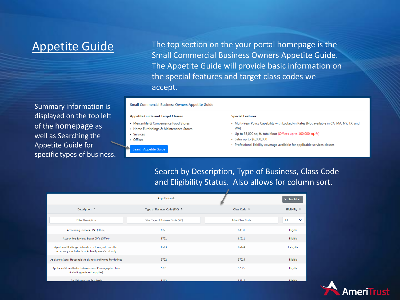# Appetite Guide

Summary information is displayed on the top left of the homepage as well as Searching the Appetite Guide for specific types of business. The top section on the your portal homepage is the Small Commercial Business Owners Appetite Guide. The Appetite Guide will provide basic information on the special features and target class codes we accept.

#### **Small Commercial Business Owners Appetite Guide**

#### **Appetite Guide and Target Classes**

- Mercantile & Convenience Food Stores
- Home Furnishings & Maintenance Stores
- Services
- Offices
	- **Search Appetite Guid**

#### **Special Features**

- Multi-Year Policy Capability with Locked-in Rates (Not available in CA, MA, NY, TX, and WA)
- Up to 35,000 sq. ft. total floor (Offices up to 100,000 sq. ft.)
- Sales up to \$6,000,000
- Professional liability coverage available for applicable services classes

Search by Description, Type of Business, Class Code and Eligibility Status. Also allows for column sort.

|                                                                                                                      | <b>Appetite Guide</b>              |                          | <b>X</b> Clear Filters |  |  |
|----------------------------------------------------------------------------------------------------------------------|------------------------------------|--------------------------|------------------------|--|--|
| Description <sup>+</sup>                                                                                             | Type of Business Code (SIC) $\div$ | Class Code ≑             | Eligibility $\div$     |  |  |
| <b>Filter Description</b>                                                                                            | Filter Type of Business Code (SIC) | <b>Filter Class Code</b> | All<br>$\check{ }$     |  |  |
| Accounting Services CPAs (Office)                                                                                    | 8721                               | 63631                    | Eligible               |  |  |
| Accounting Services Except CPAs (Office)                                                                             | 8721                               | 63611                    | Eligible               |  |  |
| Apartment Buildings - 4 families or fewer, with no office<br>occupancy - includes 3- or 4- family lessor's risk only | 6513                               | 65144                    | Ineligible             |  |  |
| Appliance Stores Household Appliances and Home Furnishings                                                           | 5722                               | 57224                    | Eligible               |  |  |
| Appliance Stores Radio, Television and Phonographic Store<br>(including parts and supplies)                          | 5731                               | 57326                    | Eligible               |  |  |
| Art Galleries Not-For-Profit                                                                                         | 8412                               | 84112                    | Fligible               |  |  |

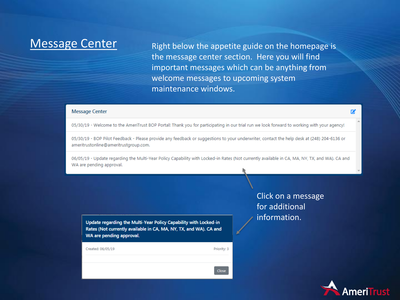Message Center Right below the appetite guide on the homepage is the message center section. Here you will find important messages which can be anything from welcome messages to upcoming system maintenance windows.

#### **Message Center**

05/30/19 - Welcome to the AmeriTrust BOP Portal! Thank you for participating in our trial run we look forward to working with your agency!

05/30/19 - BOP Pilot Feedback - Please provide any feedback or suggestions to your underwriter, contact the help desk at (248) 204-6136 or ameritrustonline@ameritrustgroup.com.

06/05/19 - Update regarding the Multi-Year Policy Capability with Locked-in Rates (Not currently available in CA, MA, NY, TX, and WA). CA and WA are pending approval.

Update regarding the Multi-Year Policy Capability with Locked-in Rates (Not currently available in CA, MA, NY, TX, and WA). CA and WA are pending approval.

| Created: 06/05/19 | Priority: 3 |
|-------------------|-------------|
|                   |             |
|                   | Close       |

Click on a message for additional information.



屠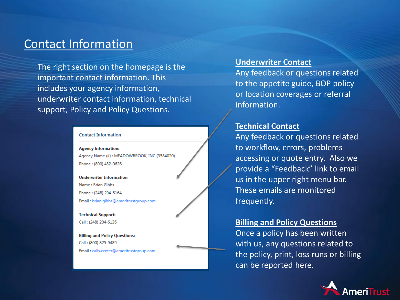### Contact Information

The right section on the homepage is the important contact information. This includes your agency information, underwriter contact information, technical support, Policy and Policy Questions.

#### **Contact Information**

**Agency Information:** Agency Name (#): MEADOWBROOK, INC (3584020) Phone: (800) 482-0626

**Underwriter Information** Name: Brian Gibbs Phone: (248) 204-8164 Email: brian.gibbs@ameritrustgroup.com

**Technical Support:** Call: (248) 204-6136

**Billing and Policy Questions:** Call: (800) 825-9489 Email: calls.center@ameritrustgroup.com

### **Underwriter Contact**

Any feedback or questions related to the appetite guide, BOP policy or location coverages or referral information.

### **Technical Contact**

Any feedback or questions related to workflow, errors, problems accessing or quote entry. Also we provide a "Feedback" link to email us in the upper right menu bar. These emails are monitored frequently.

### **Billing and Policy Questions**

Once a policy has been written with us, any questions related to the policy, print, loss runs or billing can be reported here.

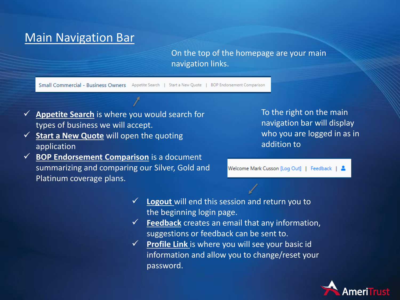# Main Navigation Bar

On the top of the homepage are your main navigation links.

Small Commercial - Business Owners Appetite Search | Start a New Quote | BOP Endorsement Comparison

- ✓ **Appetite Search** is where you would search for types of business we will accept.
- ✓ **Start a New Quote** will open the quoting application
- ✓ **BOP Endorsement Comparison** is a document summarizing and comparing our Silver, Gold and Platinum coverage plans.

To the right on the main navigation bar will display who you are logged in as in addition to

Welcome Mark Cusson [Log Out] | Feedback | &

- **Logout** will end this session and return you to the beginning login page.
- ✓ **Feedback** creates an email that any information, suggestions or feedback can be sent to.
- ✓ **Profile Link** is where you will see your basic id information and allow you to change/reset your password.

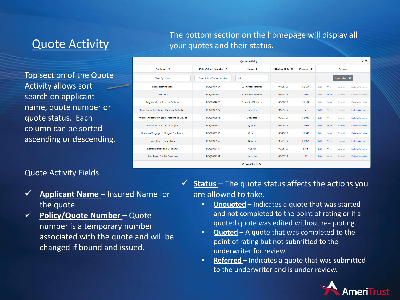# Quote Activity

Top section of the Quote Activity allows sort search on applicant name, quote number or quote status. Each column can be sorted ascending or descending.

### Quote Activity Fields

- ✓ **Applicant Name**  Insured Name for the quote
- ✓ **Policy/Quote Number**  Quote number is a temporary number associated with the quote and will be changed if bound and issued.

The bottom section on the homepage will display all your quotes and their status.

| <b>Ouote Activity</b>                         |                            |                     |                                            |                      |                            | FΤ   |        |                |  |
|-----------------------------------------------|----------------------------|---------------------|--------------------------------------------|----------------------|----------------------------|------|--------|----------------|--|
| Applicant $\div$                              | Policy/Quote Number ^      | Status $\triangle$  | <b>Effective Date <math>\approx</math></b> | Premium $\triangleq$ | <b>Actions</b>             |      |        |                |  |
| <b>Filter Applicant</b>                       | Filter Policy/Quote Number | $\checkmark$<br>All |                                            |                      | Clear Filters <sup>®</sup> |      |        |                |  |
| brians clothing store                         | BOQ1004617                 | Submitted/Referred  | 04/05/19                                   | \$2,104              | Edit                       | View | Submit | Delete/Archive |  |
| <b>Test Mark</b>                              | BOQ1004030                 | Submitted/Referred  | 03/14/19                                   | \$1,036              | Edit                       | View | Submit | Delete/Archive |  |
| Mighty Mouse Express Delivery                 | BOQ1004022                 | Submitted/Referred  | 03/08/19                                   | \$1,132              | Edit                       | View | Submit | Delete/Archive |  |
| Jaime Lannister's Finger Painting Art Gallery | BOO1003979                 | Unquoted            | 04/25/19                                   | \$0                  | Edit                       | View | Submit | Delete/Archive |  |
| yrion Lannister's Kingdom Accounting Service  | BOO1003978                 | <b>Unauoted</b>     | 03/07/19                                   | \$1,967              | Edit                       | View | Submit | Delete/Archive |  |
| Jon Snow's Ice Cream Shoppe                   | BOO1003971                 | Ouoted              | 03/08/19                                   | \$1,039              | Edit                       | View | Submit | Delete/Archive |  |
| Daenerys Targaryen's Dragon Fire Bakery       | BOO1003967                 | Ouoted              | 03/25/19                                   | \$1,546              | Edit                       | View | Submit | Delete/Archive |  |
| Pooh Bear's Honey Farm                        | BOQ1003966                 | Ouoted              | 03/14/19                                   | \$1.054              | Edit                       | View | Submit | Delete/Archive |  |
| Detroit Danish and Doughnut                   | BOO1003439                 | Ouoted              | 02/25/19                                   | \$545                | Edit                       | View | Submit | Delete/Archive |  |
| <b>Shortbread Cookie Company</b>              | BOQ1003254                 | Unquoted            | 02/27/19                                   | \$0                  | Edit                       | View | Submit | Delete/Archive |  |
| ← Page 3 of 5                                 |                            |                     |                                            |                      |                            |      |        |                |  |

✓ **Status** – The quote status affects the actions you are allowed to take.

- **Unquoted** Indicates a quote that was started and not completed to the point of rating or if a quoted quote was edited without re-quoting.
- **E** Quoted A quote that was completed to the point of rating but not submitted to the underwriter for review.
- **EXECTED** Indicates a quote that was submitted to the underwriter and is under review.